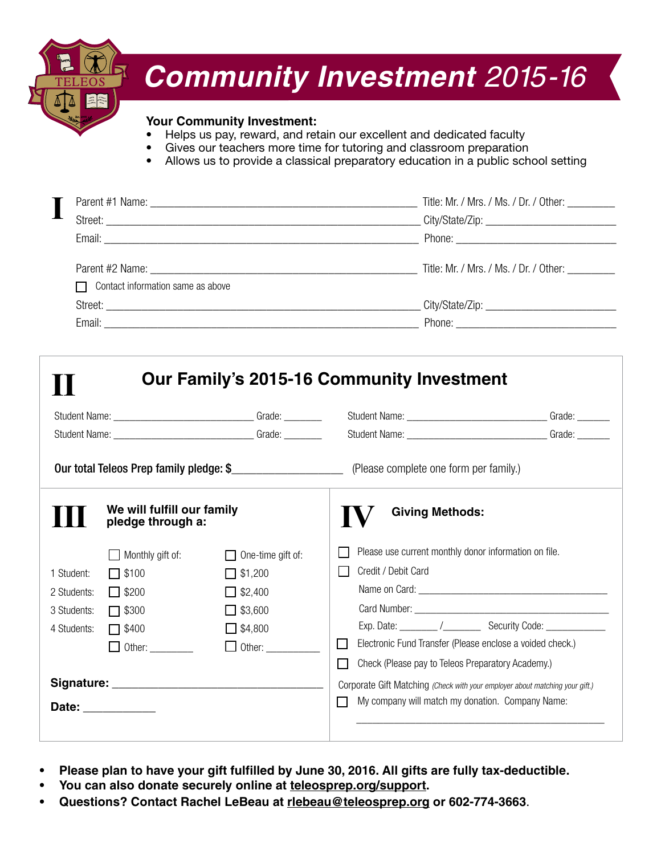

# *Community Investment 2015-16*

#### **Your Community Investment:**

- Helps us pay, reward, and retain our excellent and dedicated faculty
- Gives our teachers more time for tutoring and classroom preparation
- Allows us to provide a classical preparatory education in a public school setting

|                                          | Title: Mr. / Mrs. / Ms. / Dr. / Other: _________ |
|------------------------------------------|--------------------------------------------------|
|                                          |                                                  |
|                                          |                                                  |
|                                          |                                                  |
| $\Box$ Contact information same as above |                                                  |
|                                          |                                                  |
|                                          | Phone: <u>_________________________________</u>  |

| We will fulfill our family<br>pledge through a:                                                                                                                                                                                                                             |                                                                                  | <b>Giving Methods:</b>                                                                           |                                                                                                                                                                                                                                                                         |  |  |
|-----------------------------------------------------------------------------------------------------------------------------------------------------------------------------------------------------------------------------------------------------------------------------|----------------------------------------------------------------------------------|--------------------------------------------------------------------------------------------------|-------------------------------------------------------------------------------------------------------------------------------------------------------------------------------------------------------------------------------------------------------------------------|--|--|
| 1 Student:<br>2 Students:<br>3 Students:<br>4 Students:                                                                                                                                                                                                                     | Monthly gift of:<br>$\Box$ \$100<br>$\Box$ \$200<br>$\Box$ \$300<br>$\Box$ \$400 | $\Box$ One-time gift of:<br>$\Box$ \$1,200<br>$\Box$ \$2,400<br>$\Box$ \$3,600<br>$\Box$ \$4,800 | Please use current monthly donor information on file.<br>Credit / Debit Card<br>Exp. Date: _________ /_____________ Security Code: ______________                                                                                                                       |  |  |
| $\Box$ Other:<br>$\Box$ Other: __________<br>Date: the contract of the contract of the contract of the contract of the contract of the contract of the contract of the contract of the contract of the contract of the contract of the contract of the contract of the cont |                                                                                  |                                                                                                  | Electronic Fund Transfer (Please enclose a voided check.)<br>$\mathbf{L}$<br>П<br>Check (Please pay to Teleos Preparatory Academy.)<br>Corporate Gift Matching (Check with your employer about matching your gift.)<br>My company will match my donation. Company Name: |  |  |

- Please plan to have your gift fulfilled by June 30, 2016. All gifts are fully tax-deductible.
- You can also donate securely online at teleosprep.org/support.
- **• Questions? Contact Rachel LeBeau at rlebeau@teleosprep.org or 602-774-3663**.